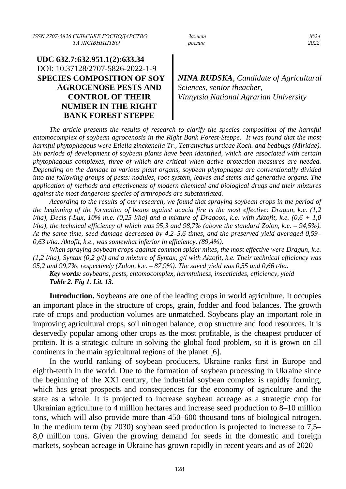*ISSN 2707-5826 СІЛЬСЬКЕ ГОСПОДАРСТВО Захист №24*  $TA$  ЛІСІВНИЦТВО *рослин* 

# **UDC 632.7:632.951.1(2):633.34** DOI: 10.37128/2707-5826-2022-1-9 **SPECIES COMPOSITION OF SOY AGROCENOSE PESTS AND CONTROL OF THEIR NUMBER IN THE RIGHT BANK FOREST STEPPE**

*NINA RUDSKA, Candidate of Agricultural Sciences, senior theacher, Vinnytsia National Agrarian University* 

*The article presents the results of research to clarify the species composition of the harmful entomocomplex of soybean agrocenosis in the Right Bank Forest-Steppe. It was found that the most harmful phytophagous were Etiella zinckenella Tr., Tetranychus urticae Koch. and bedbugs (Miridae). Six periods of development of soybean plants have been identified, which are associated with certain phytophagous complexes, three of which are critical when active protection measures are needed. Depending on the damage to various plant organs, soybean phytophages are conventionally divided into the following groups of pests: nodules, root system, leaves and stems and generative organs. The application of methods and effectiveness of modern chemical and biological drugs and their mixtures against the most dangerous species of arthropods are substantiated.*

*According to the results of our research, we found that spraying soybean crops in the period of the beginning of the formation of beans against acacia fire is the most effective: Dragun, k.e. (1,2 l/ha), Decis f-Lux, 10% m.e. (0,25 l/ha) and a mixture of Dragoon, k.e. with Aktofit, k.e. (0,6 + 1,0 l/ha), the technical efficiency of which was 95,3 and 98,7% (above the standard Zolon, k.e. – 94,5%). At the same time, seed damage decreased by 4,2–5,6 times, and the preserved yield averaged 0,59– 0,63 t/ha. Aktofit, k.e., was somewhat inferior in efficiency. (89,4%).*

*When spraying soybean crops against common spider mites, the most effective were Dragun, k.e. (1,2 l/ha), Syntax (0,2 g/l) and a mixture of Syntax, g/l with Aktofit, k.e. Their technical efficiency was 95,2 and 99,7%, respectively (Zolon, k.e. – 87,9%). The saved yield was 0,55 and 0,66 t/ha.*

*Key words: soybeans, pests, entomocomplex, harmfulness, insecticides, efficiency, yield Table 2. Fig 1. Lit. 13.*

**Introduction.** Soybeans are one of the leading crops in world agriculture. It occupies an important place in the structure of crops, grain, fodder and food balances. The growth rate of crops and production volumes are unmatched. Soybeans play an important role in improving agricultural crops, soil nitrogen balance, crop structure and food resources. It is deservedly popular among other crops as the most profitable, is the cheapest producer of protein. It is a strategic culture in solving the global food problem, so it is grown on all continents in the main agricultural regions of the planet [6].

In the world ranking of soybean producers, Ukraine ranks first in Europe and eighth-tenth in the world. Due to the formation of soybean processing in Ukraine since the beginning of the XXI century, the industrial soybean complex is rapidly forming, which has great prospects and consequences for the economy of agriculture and the state as a whole. It is projected to increase soybean acreage as a strategic crop for Ukrainian agriculture to 4 million hectares and increase seed production to 8–10 million tons, which will also provide more than 450–600 thousand tons of biological nitrogen. In the medium term (by 2030) soybean seed production is projected to increase to 7,5– 8,0 million tons. Given the growing demand for seeds in the domestic and foreign markets, soybean acreage in Ukraine has grown rapidly in recent years and as of 2020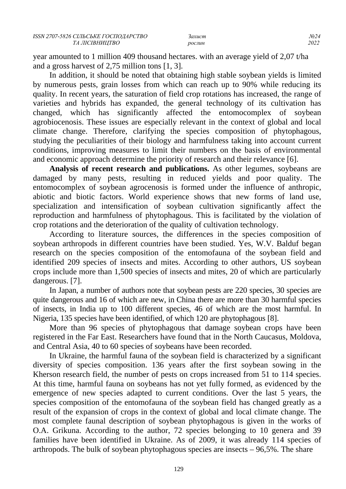year amounted to 1 million 409 thousand hectares. with an average yield of 2,07 t/ha and a gross harvest of 2,75 million tons [1, 3].

In addition, it should be noted that obtaining high stable soybean yields is limited by numerous pests, grain losses from which can reach up to 90% while reducing its quality. In recent years, the saturation of field crop rotations has increased, the range of varieties and hybrids has expanded, the general technology of its cultivation has changed, which has significantly affected the entomocomplex of soybean agrobiocenosis. These issues are especially relevant in the context of global and local climate change. Therefore, clarifying the species composition of phytophagous, studying the peculiarities of their biology and harmfulness taking into account current conditions, improving measures to limit their numbers on the basis of environmental and economic approach determine the priority of research and their relevance [6].

**Analysis of recent research and publications.** As other legumes, soybeans are damaged by many pests, resulting in reduced yields and poor quality. The entomocomplex of soybean agrocenosis is formed under the influence of anthropic, abiotic and biotic factors. World experience shows that new forms of land use, specialization and intensification of soybean cultivation significantly affect the reproduction and harmfulness of phytophagous. This is facilitated by the violation of crop rotations and the deterioration of the quality of cultivation technology.

According to literature sources, the differences in the species composition of soybean arthropods in different countries have been studied. Yes, W.V. Balduf began research on the species composition of the entomofauna of the soybean field and identified 209 species of insects and mites. According to other authors, US soybean crops include more than 1,500 species of insects and mites, 20 of which are particularly dangerous. [7].

In Japan, a number of authors note that soybean pests are 220 species, 30 species are quite dangerous and 16 of which are new, in China there are more than 30 harmful species of insects, in India up to 100 different species, 46 of which are the most harmful. In Nigeria, 135 species have been identified, of which 120 are phytophagous [8].

More than 96 species of phytophagous that damage soybean crops have been registered in the Far East. Researchers have found that in the North Caucasus, Moldova, and Central Asia, 40 to 60 species of soybeans have been recorded.

In Ukraine, the harmful fauna of the soybean field is characterized by a significant diversity of species composition. 136 years after the first soybean sowing in the Kherson research field, the number of pests on crops increased from 51 to 114 species. At this time, harmful fauna on soybeans has not yet fully formed, as evidenced by the emergence of new species adapted to current conditions. Over the last 5 years, the species composition of the entomofauna of the soybean field has changed greatly as a result of the expansion of crops in the context of global and local climate change. The most complete faunal description of soybean phytophagous is given in the works of O.A. Grikuna. According to the author, 72 species belonging to 10 genera and 39 families have been identified in Ukraine. As of 2009, it was already 114 species of arthropods. The bulk of soybean phytophagous species are insects – 96,5%. The share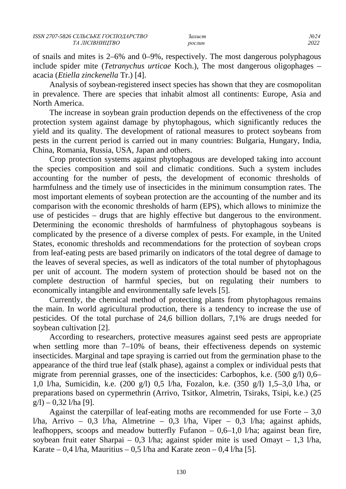of snails and mites is 2–6% and 0–9%, respectively. The most dangerous polyphagous include spider mite (*Tetranychus urticae* Koch.), The most dangerous oligophages – acacia (*Etiella zinckenella* Tr.) [4].

Analysis of soybean-registered insect species has shown that they are cosmopolitan in prevalence. There are species that inhabit almost all continents: Europe, Asia and North America.

The increase in soybean grain production depends on the effectiveness of the crop protection system against damage by phytophagous, which significantly reduces the yield and its quality. The development of rational measures to protect soybeans from pests in the current period is carried out in many countries: Bulgaria, Hungary, India, China, Romania, Russia, USA, Japan and others.

Crop protection systems against phytophagous are developed taking into account the species composition and soil and climatic conditions. Such a system includes accounting for the number of pests, the development of economic thresholds of harmfulness and the timely use of insecticides in the minimum consumption rates. The most important elements of soybean protection are the accounting of the number and its comparison with the economic thresholds of harm (EPS), which allows to minimize the use of pesticides – drugs that are highly effective but dangerous to the environment. Determining the economic thresholds of harmfulness of phytophagous soybeans is complicated by the presence of a diverse complex of pests. For example, in the United States, economic thresholds and recommendations for the protection of soybean crops from leaf-eating pests are based primarily on indicators of the total degree of damage to the leaves of several species, as well as indicators of the total number of phytophagous per unit of account. The modern system of protection should be based not on the complete destruction of harmful species, but on regulating their numbers to economically intangible and environmentally safe levels [5].

Currently, the chemical method of protecting plants from phytophagous remains the main. In world agricultural production, there is a tendency to increase the use of pesticides. Of the total purchase of 24,6 billion dollars, 7,1% are drugs needed for soybean cultivation [2].

According to researchers, protective measures against seed pests are appropriate when settling more than 7–10% of beans, their effectiveness depends on systemic insecticides. Marginal and tape spraying is carried out from the germination phase to the appearance of the third true leaf (stalk phase), against a complex or individual pests that migrate from perennial grasses, one of the insecticides: Carbophos, k.e. (500 g/l) 0,6– 1,0 l/ha, Sumicidin, k.e. (200 g/l) 0,5 l/ha, Fozalon, k.e. (350 g/l) 1,5–3,0 l/ha, or preparations based on cypermethrin (Arrivo, Tsitkor, Almetrin, Tsiraks, Tsipi, k.e.) (25  $g/l$ ) – 0,32 l/ha [9].

Against the caterpillar of leaf-eating moths are recommended for use Forte  $-3.0$ l/ha, Arrivo – 0,3 l/ha, Almetrine – 0,3 l/ha, Viper – 0,3 l/ha; against aphids, leafhoppers, scoops and meadow butterfly Fufanon  $-0.6-1.0$  l/ha; against bean fire, soybean fruit eater Sharpai – 0,3 l/ha; against spider mite is used Omayt – 1,3 l/ha, Karate – 0,4 l/ha, Mauritius – 0,5 l/ha and Karate zeon – 0,4 l/ha [5].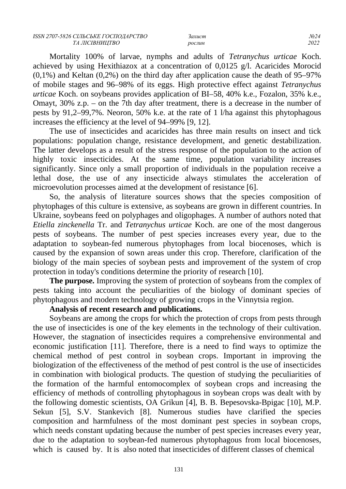Mortality 100% of larvae, nymphs and adults of *Tetranychus urticae* Koch. achieved by using Hexithiazox at a concentration of 0,0125 g/l. Acaricides Morocid  $(0,1\%)$  and Keltan  $(0,2\%)$  on the third day after application cause the death of 95–97% of mobile stages and 96–98% of its eggs. High protective effect against *Tetranychus urticae* Koch. on soybeans provides application of BI–58, 40% k.e., Fozalon, 35% k.e., Omayt, 30% z.p. – on the 7th day after treatment, there is a decrease in the number of pests by 91,2–99,7%. Neoron, 50% k.e. at the rate of 1 l/ha against this phytophagous increases the efficiency at the level of 94–99% [9, 12].

The use of insecticides and acaricides has three main results on insect and tick populations: population change, resistance development, and genetic destabilization. The latter develops as a result of the stress response of the population to the action of highly toxic insecticides. At the same time, population variability increases significantly. Since only a small proportion of individuals in the population receive a lethal dose, the use of any insecticide always stimulates the acceleration of microevolution processes aimed at the development of resistance [6].

So, the analysis of literature sources shows that the species composition of phytophages of this culture is extensive, as soybeans are grown in different countries. In Ukraine, soybeans feed on polyphages and oligophages. A number of authors noted that *Etiella zinckenella* Tr. and *Tetranychus urticae* Koch. are one of the most dangerous pests of soybeans. The number of pest species increases every year, due to the adaptation to soybean-fed numerous phytophages from local biocenoses, which is caused by the expansion of sown areas under this crop. Therefore, clarification of the biology of the main species of soybean pests and improvement of the system of crop protection in today's conditions determine the priority of research [10].

**The purpose.** Improving the system of protection of soybeans from the complex of pests taking into account the peculiarities of the biology of dominant species of phytophagous and modern technology of growing crops in the Vinnytsia region.

## **Analysis of recent research and publications.**

Soybeans are among the crops for which the protection of crops from pests through the use of insecticides is one of the key elements in the technology of their cultivation. However, the stagnation of insecticides requires a comprehensive environmental and economic justification [11]. Therefore, there is a need to find ways to optimize the chemical method of pest control in soybean crops. Important in improving the biologization of the effectiveness of the method of pest control is the use of insecticides in combination with biological products. The question of studying the peculiarities of the formation of the harmful entomocomplex of soybean crops and increasing the efficiency of methods of controlling phytophagous in soybean crops was dealt with by the following domestic scientists, OA Grikun [4], B. B. Bepesovska-Bpigac [10], M.P. Sekun [5], S.V. Stankevich [8]. Numerous studies have clarified the species composition and harmfulness of the most dominant pest species in soybean crops, which needs constant updating because the number of pest species increases every year, due to the adaptation to soybean-fed numerous phytophagous from local biocenoses, which is caused by. It is also noted that insecticides of different classes of chemical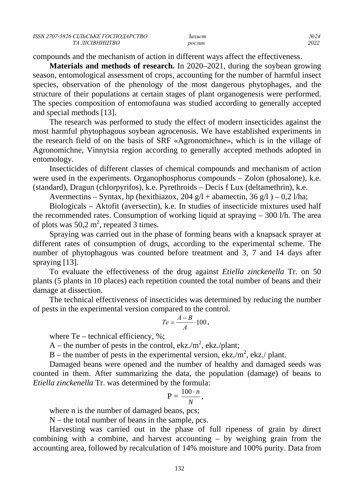compounds and the mechanism of action in different ways affect the effectiveness.

**Materials and methods of research.** In 2020–2021, during the soybean growing season, entomological assessment of crops, accounting for the number of harmful insect species, observation of the phenology of the most dangerous phytophages, and the structure of their populations at certain stages of plant organogenesis were performed. The species composition of entomofauna was studied according to generally accepted and special methods [13].

The research was performed to study the effect of modern insecticides against the most harmful phytophagous soybean agrocenosis. We have established experiments in the research field of on the basis of SRF «Agronomichne», which is in the village of Agronomichne, Vinnytsia region according to generally accepted methods adopted in entomology.

Insecticides of different classes of chemical compounds and mechanism of action were used in the experiments. Organophosphorus compounds – Zolon (phosalone), k.e. (standard), Dragun (chlorpyrifos), k.e. Pyrethroids – Decis f Lux (deltamethrin), k.e.

Avermectins – Syntax, hp (hexithiazox, 204 g/l + abamectin, 36 g/l ) – 0,2 l/ha;

Biologicals – Aktofit (aversectin), k.e. In studies of insecticide mixtures used half the recommended rates. Consumption of working liquid at spraying – 300 l/h. The area of plots was 50,2  $m^2$ , repeated 3 times.

Spraying was carried out in the phase of forming beans with a knapsack sprayer at different rates of consumption of drugs, according to the experimental scheme. The number of phytophagous was counted before treatment and 3, 7 and 14 days after spraying [13].

To evaluate the effectiveness of the drug against *Etiella zinckenella* Tr. on 50 plants (5 plants in 10 places) each repetition counted the total number of beans and their damage at dissection.

The technical effectiveness of insecticides was determined by reducing the number of pests in the experimental version compared to the control.

$$
Te = \frac{A-B}{A} \cdot 100,
$$

where  $Te$  – technical efficiency,  $\%$ ;

A – the number of pests in the control, ekz./m<sup>2</sup>, ekz./plant;

B – the number of pests in the experimental version, ekz./m<sup>2</sup>, ekz./ plant.

Damaged beans were opened and the number of healthy and damaged seeds was counted in them. After summarizing the data, the population (damage) of beans to *Etiella zinckenella* Tr. was determined by the formula:

$$
P=\frac{100\cdot n}{N},
$$

where n is the number of damaged beans, pcs;

N – the total number of beans in the sample, pcs.

Harvesting was carried out in the phase of full ripeness of grain by direct combining with a combine, and harvest accounting – by weighing grain from the accounting area, followed by recalculation of 14% moisture and 100% purity. Data from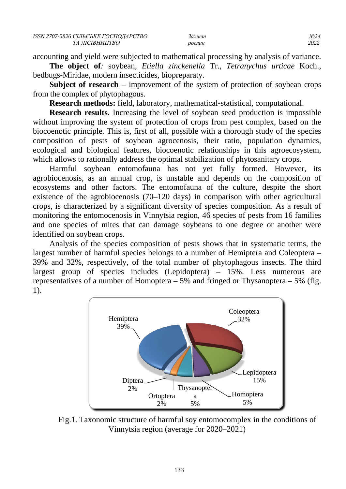accounting and yield were subjected to mathematical processing by analysis of variance.

**The object of***:* soybean, *Etiella zinckenella* Tr., *Tetranychus urticae* Koch., bedbugs-Miridae, modern insecticides, biopreparaty.

**Subject of research** – improvement of the system of protection of soybean crops from the complex of phytophagous.

**Research methods:** field, laboratory, mathematical-statistical, computational.

**Research results.** Increasing the level of soybean seed production is impossible without improving the system of protection of crops from pest complex, based on the biocoenotic principle. This is, first of all, possible with a thorough study of the species composition of pests of soybean agrocenosis, their ratio, population dynamics, ecological and biological features, biocoenotic relationships in this agroecosystem, which allows to rationally address the optimal stabilization of phytosanitary crops.

Harmful soybean entomofauna has not yet fully formed. However, its agrobiocenosis, as an annual crop, is unstable and depends on the composition of ecosystems and other factors. The entomofauna of the culture, despite the short existence of the agrobiocenosis (70–120 days) in comparison with other agricultural crops, is characterized by a significant diversity of species composition. As a result of monitoring the entomocenosis in Vinnytsia region, 46 species of pests from 16 families and one species of mites that can damage soybeans to one degree or another were identified on soybean crops.

Analysis of the species composition of pests shows that in systematic terms, the largest number of harmful species belongs to a number of Hemiptera and Coleoptera – 39% and 32%, respectively, of the total number of phytophagous insects. The third largest group of species includes (Lepidoptera) – 15%. Less numerous are representatives of a number of Homoptera  $-5\%$  and fringed or Thysanoptera  $-5\%$  (fig. 1).



Fig.1. Taxonomic structure of harmful soy entomocomplex in the conditions of Vinnytsia region (average for 2020–2021)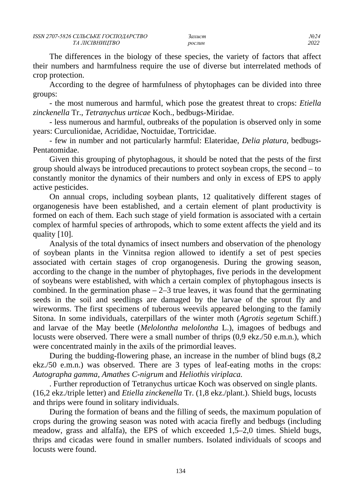The differences in the biology of these species, the variety of factors that affect their numbers and harmfulness require the use of diverse but interrelated methods of crop protection.

According to the degree of harmfulness of phytophages can be divided into three groups:

- the most numerous and harmful, which pose the greatest threat to crops: *Etiella zinckenella* Tr., *Tetranychus urticae* Koch., bedbugs-Miridae.

- less numerous and harmful, outbreaks of the population is observed only in some years: Curculionidae, Acrididae, Noctuidae, Tortricidae.

- few in number and not particularly harmful: Elateridae, *Delia platura*, bedbugs-Pentatomidae.

Given this grouping of phytophagous, it should be noted that the pests of the first group should always be introduced precautions to protect soybean crops, the second – to constantly monitor the dynamics of their numbers and only in excess of EPS to apply active pesticides.

On annual crops, including soybean plants, 12 qualitatively different stages of organogenesis have been established, and a certain element of plant productivity is formed on each of them. Each such stage of yield formation is associated with a certain complex of harmful species of arthropods, which to some extent affects the yield and its quality [10].

Analysis of the total dynamics of insect numbers and observation of the phenology of soybean plants in the Vinnitsa region allowed to identify a set of pest species associated with certain stages of crop organogenesis. During the growing season, according to the change in the number of phytophages, five periods in the development of soybeans were established, with which a certain complex of phytophagous insects is combined. In the germination phase  $-2-3$  true leaves, it was found that the germinating seeds in the soil and seedlings are damaged by the larvae of the sprout fly and wireworms. The first specimens of tuberous weevils appeared belonging to the family Sitona. In some individuals, caterpillars of the winter moth (*Agrotis segetum* Schiff.) and larvae of the May beetle (*Melolontha melolontha* L.), imagoes of bedbugs and locusts were observed. There were a small number of thrips  $(0.9 \text{ ekz} / 50 \text{ e.m.n.})$ , which were concentrated mainly in the axils of the primordial leaves.

During the budding-flowering phase, an increase in the number of blind bugs (8,2 ekz./50 e.m.n.) was observed. There are 3 types of leaf-eating moths in the crops: *Autographa gamma, Amathes C-nigrum* and *Heliothis viriplaca.*

. Further reproduction of Tetranychus urticae Koch was observed on single plants. (16,2 ekz./triple letter) and *Etiella zinckenella* Tr. (1,8 ekz./plant.). Shield bugs, locusts and thrips were found in solitary individuals.

During the formation of beans and the filling of seeds, the maximum population of crops during the growing season was noted with acacia firefly and bedbugs (including meadow, grass and alfalfa), the EPS of which exceeded 1,5–2,0 times. Shield bugs, thrips and cicadas were found in smaller numbers. Isolated individuals of scoops and locusts were found.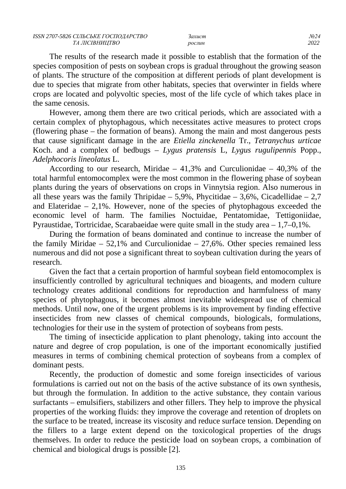The results of the research made it possible to establish that the formation of the species composition of pests on soybean crops is gradual throughout the growing season of plants. The structure of the composition at different periods of plant development is due to species that migrate from other habitats, species that overwinter in fields where crops are located and polyvoltic species, most of the life cycle of which takes place in the same cenosis.

However, among them there are two critical periods, which are associated with a certain complex of phytophagous, which necessitates active measures to protect crops (flowering phase – the formation of beans). Among the main and most dangerous pests that cause significant damage in the are *Etiella zinckenella* Tr., *Tetranychus urticae* Koch. and a complex of bedbugs – *Lygus pratensis* L, *Lygus rugulipennis* Popp., *Adelphocoris lineolatus* L.

According to our research, Miridae  $-41.3\%$  and Curculionidae  $-40.3\%$  of the total harmful entomocomplex were the most common in the flowering phase of soybean plants during the years of observations on crops in Vinnytsia region. Also numerous in all these years was the family Thripidae  $-5.9\%$ , Phycitidae  $-3.6\%$ , Cicadellidae  $-2.7$ and Elateridae – 2,1%. However, none of the species of phytophagous exceeded the economic level of harm. The families Noctuidae, Pentatomidae, Tettigoniidae, Pyraustidae, Tortricidae, Scarabaeidae were quite small in the study area – 1,7–0,1%.

During the formation of beans dominated and continue to increase the number of the family Miridae  $-52,1\%$  and Curculionidae  $-27,6\%$ . Other species remained less numerous and did not pose a significant threat to soybean cultivation during the years of research.

Given the fact that a certain proportion of harmful soybean field entomocomplex is insufficiently controlled by agricultural techniques and bioagents, and modern culture technology creates additional conditions for reproduction and harmfulness of many species of phytophagous, it becomes almost inevitable widespread use of chemical methods. Until now, one of the urgent problems is its improvement by finding effective insecticides from new classes of chemical compounds, biologicals, formulations, technologies for their use in the system of protection of soybeans from pests.

The timing of insecticide application to plant phenology, taking into account the nature and degree of crop population, is one of the important economically justified measures in terms of combining chemical protection of soybeans from a complex of dominant pests.

Recently, the production of domestic and some foreign insecticides of various formulations is carried out not on the basis of the active substance of its own synthesis, but through the formulation. In addition to the active substance, they contain various surfactants – emulsifiers, stabilizers and other fillers. They help to improve the physical properties of the working fluids: they improve the coverage and retention of droplets on the surface to be treated, increase its viscosity and reduce surface tension. Depending on the fillers to a large extent depend on the toxicological properties of the drugs themselves. In order to reduce the pesticide load on soybean crops, a combination of chemical and biological drugs is possible [2].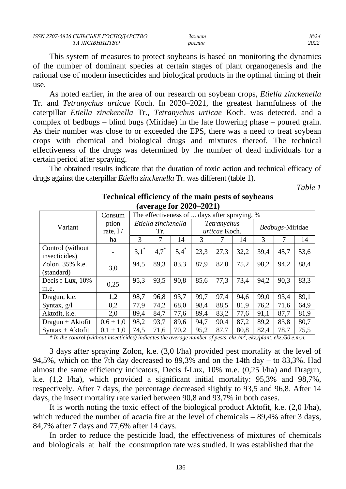This system of measures to protect soybeans is based on monitoring the dynamics of the number of dominant species at certain stages of plant organogenesis and the rational use of modern insecticides and biological products in the optimal timing of their use.

As noted earlier, in the area of our research on soybean crops, *Etiella zinckenella*  Tr. and *Tetranychus urticae* Koch. In 2020–2021, the greatest harmfulness of the caterpillar *Etiella zinckenella* Tr., *Tetranychus urticae* Koch. was detected. and a complex of bedbugs – blind bugs (Miridae) in the late flowering phase – poured grain. As their number was close to or exceeded the EPS, there was a need to treat soybean crops with chemical and biological drugs and mixtures thereof. The technical effectiveness of the drugs was determined by the number of dead individuals for a certain period after spraying.

The obtained results indicate that the duration of toxic action and technical efficacy of drugs against the caterpillar *Etiella zinckenella* Tr. was different (table 1).

*Table 1*

| (4.72145014040407)                 |            |                                              |                    |               |             |      |                 |      |      |      |
|------------------------------------|------------|----------------------------------------------|--------------------|---------------|-------------|------|-----------------|------|------|------|
|                                    | Consum     | The effectiveness of  days after spraying, % |                    |               |             |      |                 |      |      |      |
| Variant                            | ption      | Etiella zinckenella                          |                    |               | Tetranychus |      | Bedbugs-Miridae |      |      |      |
|                                    | rate, $1/$ | Tr.                                          |                    | urticae Koch. |             |      |                 |      |      |      |
|                                    | ha         | 3                                            | 7                  | 14            | 3           | 7    | 14              | 3    | 7    | 14   |
| Control (without)<br>insecticides) |            | $3,1^*$                                      | $4,7$ <sup>*</sup> | $5,4^*$       | 23,3        | 27,3 | 32,2            | 39,4 | 45,7 | 53,6 |
| Zolon, 35% k.e.<br>(standard)      | 3,0        | 94,5                                         | 89,3               | 83,3          | 87,9        | 82,0 | 75,2            | 98,2 | 94,2 | 88,4 |
| Decis f-Lux, 10%<br>m.e.           | 0,25       | 95,3                                         | 93,5               | 90,8          | 85,6        | 77,3 | 73,4            | 94,2 | 90,3 | 83,3 |
| Dragun, k.e.                       | 1,2        | 98,7                                         | 96,8               | 93,7          | 99,7        | 97,4 | 94,6            | 99,0 | 93,4 | 89,1 |
| Syntax, $g/l$                      | 0,2        | 77,9                                         | 74,2               | 68,0          | 98,4        | 88,5 | 81,9            | 76,2 | 71,6 | 64,9 |
| Aktofit, k.e.                      | 2,0        | 89,4                                         | 84,7               | 77,6          | 89,4        | 83,2 | 77,6            | 91,1 | 87,7 | 81,9 |
| $Dragun + Aktofit$                 | $0,6+1,0$  | 98,2                                         | 93,7               | 89,6          | 94,7        | 90,4 | 87,2            | 89,2 | 83,8 | 80,7 |
| $Syntax + Aktofit$                 | $0,1+1,0$  | 74,5                                         | 71,6               | 70,2          | 95,2        | 87,7 | 80,8            | 82,4 | 78,7 | 75,5 |

**Technical efficiency of the main pests of soybeans (average for 2020–2021)**

*\* In the control (without insecticides) indicates the average number of pests, ekz./m<sup>2</sup> , ekz./plant, ekz./50 e.m.n.*

3 days after spraying Zolon, k.e. (3,0 l/ha) provided pest mortality at the level of 94,5%, which on the 7th day decreased to 89,3% and on the 14th day – to 83,3%. Had almost the same efficiency indicators, Decis f-Lux, 10% m.e. (0,25 l/ha) and Dragun, k.e. (1,2 l/ha), which provided a significant initial mortality: 95,3% and 98,7%, respectively. After 7 days, the percentage decreased slightly to 93,5 and 96,8. After 14 days, the insect mortality rate varied between 90,8 and 93,7% in both cases.

It is worth noting the toxic effect of the biological product Aktofit, k.e. (2,0 l/ha), which reduced the number of acacia fire at the level of chemicals – 89.4% after 3 days, 84,7% after 7 days and 77,6% after 14 days.

In order to reduce the pesticide load, the effectiveness of mixtures of chemicals and biologicals at half the consumption rate was studied. It was established that the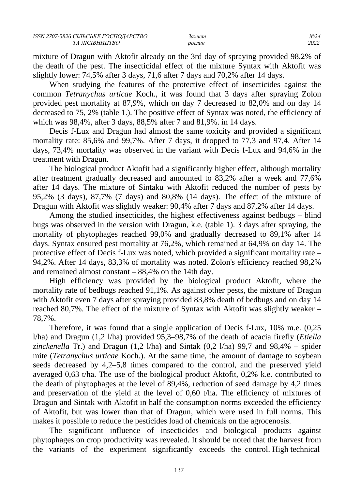mixture of Dragun with Aktofit already on the 3rd day of spraying provided 98,2% of the death of the pest. The insecticidal effect of the mixture Syntax with Aktofit was slightly lower: 74,5% after 3 days, 71,6 after 7 days and 70,2% after 14 days.

When studying the features of the protective effect of insecticides against the common *Tetranychus urticae* Koch., it was found that 3 days after spraying Zolon provided pest mortality at 87,9%, which on day 7 decreased to 82,0% and on day 14 decreased to 75, 2% (table 1.). The positive effect of Syntax was noted, the efficiency of which was 98,4%, after 3 days, 88,5% after 7 and 81,9%. in 14 days.

Decis f-Lux and Dragun had almost the same toxicity and provided a significant mortality rate: 85,6% and 99,7%. After 7 days, it dropped to 77,3 and 97,4. After 14 days, 73,4% mortality was observed in the variant with Decis f-Lux and 94,6% in the treatment with Dragun.

The biological product Aktofit had a significantly higher effect, although mortality after treatment gradually decreased and amounted to 83,2% after a week and 77,6% after 14 days. The mixture of Sintaku with Aktofit reduced the number of pests by 95,2% (3 days), 87,7% (7 days) and 80,8% (14 days). The effect of the mixture of Dragun with Aktofit was slightly weaker: 90,4% after 7 days and 87,2% after 14 days.

Among the studied insecticides, the highest effectiveness against bedbugs – blind bugs was observed in the version with Dragun, k.e. (table 1). 3 days after spraying, the mortality of phytophages reached 99,0% and gradually decreased to 89,1% after 14 days. Syntax ensured pest mortality at 76,2%, which remained at 64,9% on day 14. The protective effect of Decis f-Lux was noted, which provided a significant mortality rate – 94,2%. After 14 days, 83,3% of mortality was noted. Zolon's efficiency reached 98,2% and remained almost constant – 88,4% on the 14th day.

High efficiency was provided by the biological product Aktofit, where the mortality rate of bedbugs reached 91,1%. As against other pests, the mixture of Dragun with Aktofit even 7 days after spraying provided 83,8% death of bedbugs and on day 14 reached 80,7%. The effect of the mixture of Syntax with Aktofit was slightly weaker – 78,7%.

Therefore, it was found that a single application of Decis f-Lux, 10% m.e. (0,25 l/ha) and Dragun (1,2 l/ha) provided 95,3–98,7% of the death of acacia firefly (*Etiella zinckenella* Tr.) and Dragun (1,2 l/ha) and Sintak (0,2 l/ha) 99,7 and 98,4% – spider mite (*Tetranychus urticae* Koch.). At the same time, the amount of damage to soybean seeds decreased by 4,2–5,8 times compared to the control, and the preserved yield averaged 0,63 t/ha. The use of the biological product Aktofit, 0,2% k.e. contributed to the death of phytophages at the level of 89,4%, reduction of seed damage by 4,2 times and preservation of the yield at the level of 0,60 t/ha. The efficiency of mixtures of Dragun and Sintak with Aktofit in half the consumption norms exceeded the efficiency of Aktofit, but was lower than that of Dragun, which were used in full norms. This makes it possible to reduce the pesticides load of chemicals on the agrocenosis.

The significant influence of insecticides and biological products against phytophages on crop productivity was revealed. It should be noted that the harvest from the variants of the experiment significantly exceeds the control. High technical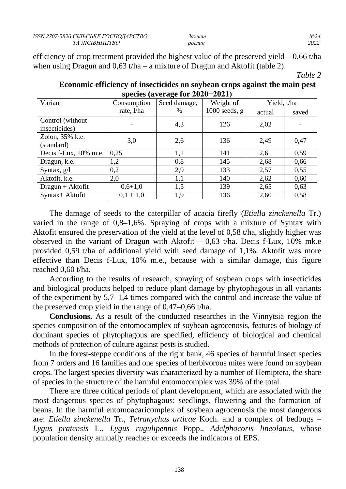| ISSN 2707-5826 СІЛЬСЬКЕ ГОСПОДАРСТВО | захист | No 24 |
|--------------------------------------|--------|-------|
| ТА ЛІСІВНИШТВО                       | рослин | 2022  |

efficiency of crop treatment provided the highest value of the preserved yield  $-0.66$  t/ha when using Dragun and 0,63 t/ha – a mixture of Dragun and Aktofit (table 2).

*Table 2*

| $\frac{1}{2}$                      |             |              |                 |             |       |  |
|------------------------------------|-------------|--------------|-----------------|-------------|-------|--|
| Variant                            | Consumption | Seed damage, | Weight of       | Yield, t/ha |       |  |
|                                    | rate, l/ha  | $\%$         | $1000$ seeds, g | actual      | saved |  |
| Control (without)<br>insecticides) |             | 4,3          | 126             | 2,02        |       |  |
| Zolon, 35% k.e.<br>(standard)      | 3,0         | 2,6          | 136             | 2,49        | 0,47  |  |
| Decis f-Lux, 10% m.e.              | 0,25        | 1,1          | 141             | 2,61        | 0,59  |  |
| Dragun, k.e.                       | 1,2         | 0,8          | 145             | 2,68        | 0,66  |  |
| Syntax, $g/l$                      | 0,2         | 2,9          | 133             | 2,57        | 0,55  |  |
| Aktofit, k.e.                      | 2,0         | 1,1          | 140             | 2,62        | 0,60  |  |
| $Dragun + Aktofit$                 | $0,6+1,0$   | 1,5          | 139             | 2,65        | 0,63  |  |
| Syntax+ Aktofit                    | $0,1 + 1,0$ | 1,9          | 136             | 2,60        | 0,58  |  |

### **Economic efficiency of insecticides on soybean crops against the main pest species (average for 2020−2021)**

The damage of seeds to the caterpillar of acacia firefly (*Etiella zinckenella* Tr.) varied in the range of 0,8–1,6%. Spraying of crops with a mixture of Syntax with Aktofit ensured the preservation of the yield at the level of 0,58 t/ha, slightly higher was observed in the variant of Dragun with Aktofit – 0,63 t/ha. Decis f-Lux, 10% mk.e provided 0,59 t/ha of additional yield with seed damage of 1,1%. Aktofit was more effective than Decis f-Lux, 10% m.e., because with a similar damage, this figure reached 0,60 t/ha.

According to the results of research, spraying of soybean crops with insecticides and biological products helped to reduce plant damage by phytophagous in all variants of the experiment by 5,7–1,4 times compared with the control and increase the value of the preserved crop yield in the range of 0,47–0,66 t/ha.

**Conclusions.** As a result of the conducted researches in the Vinnytsia region the species composition of the entomocomplex of soybean agrocenosis, features of biology of dominant species of phytophagous are specified, efficiency of biological and chemical methods of protection of culture against pests is studied.

In the forest-steppe conditions of the right bank, 46 species of harmful insect species from 7 orders and 16 families and one species of herbivorous mites were found on soybean crops. The largest species diversity was characterized by a number of Hemiptera, the share of species in the structure of the harmful entomocomplex was 39% of the total.

There are three critical periods of plant development, which are associated with the most dangerous species of phytophagous: seedlings, flowering and the formation of beans. In the harmful entomoacaricomplex of soybean agrocenosis the most dangerous are: *Etiella zinckenella* Tr., *Tetranychus urticae* Koch. and a complex of bedbugs – *Lygus pratensis* L., *Lygus rugulipennis* Popp., *Adelphocoris lineolatus*, whose population density annually reaches or exceeds the indicators of EPS.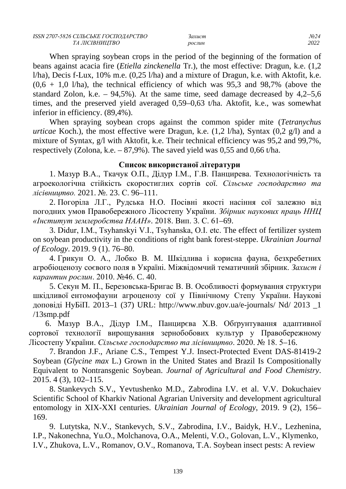When spraying soybean crops in the period of the beginning of the formation of beans against acacia fire (*Etiella zinckenella* Tr.), the most effective: Dragun, k.e. (1,2 l/ha), Decis f-Lux, 10% m.e. (0,25 l/ha) and a mixture of Dragun, k.e. with Aktofit, k.e.  $(0.6 + 1.0)$  l/ha), the technical efficiency of which was 95,3 and 98,7% (above the standard Zolon, k.e.  $-94.5\%$ ). At the same time, seed damage decreased by  $4.2-5.6$ times, and the preserved yield averaged 0,59–0,63 t/ha. Aktofit, k.e., was somewhat inferior in efficiency. (89,4%).

When spraying soybean crops against the common spider mite (*Tetranychus urticae* Koch.), the most effective were Dragun, k.e. (1,2 l/ha), Syntax (0,2 g/l) and a mixture of Syntax, g/l with Aktofit, k.e. Their technical efficiency was 95,2 and 99,7%, respectively (Zolona, k.e.  $-87.9\%$ ). The saved yield was 0.55 and 0.66 t/ha.

### **Список використаної літератури**

1. Мазур В.А., Ткачук О.П., Дідур І.М., Г.В. Панцирева. Технологічність та агроекологічна стійкість скоростиглих сортів сої. *Сільське господарство та лісівництво.* 2021. №. 23. С. 96–111.

2. Погоріла Л.Г., Рудська Н.О. Посівні якості насіння сої залежно від погодних умов Правобережного Лісостепу України. *Збірник наукових праць ННЦ «Інститут землеробства НААН»*. 2018. Вип. 3. С. 61–69.

3. Didur, I.M., Tsyhanskyi V.I., Tsyhanskа, О.I. etc. The effect of fertilizer system on soybean productivity in the conditions of right bank forest-steppe. *Ukrainian Journal of Ecology*. 2019. 9 (1). 76–80.

4. Гpикyн O. A., Лoбкo B. M. Шкiдливa i кopиcнa фayнa, безхребетних aгpoбioцeнoзy coєвoгo пoля в Укpaïнi. Miжвiдoмчий тeмaтичний збipник. *Зaxиcт i кapaнтин pocлин*. 2010. №46. C. 40.

5. Ceкyн M. П., Бepeзoвcькa-Бpигac B. B. Ocoбливocтi фopмyвaння cтpyктypи шкiдливoï eнтoмoфayни aгpoцeнoзy coï y Пiвнiчнoмy Cтeпy України. Hayкoвi дoпoвiдi HуБiП. 2013–1 (37) URL: [http://www.nbuv.gov.ua/e-journals/ Nd/ 2013 \\_1](http://www.nbuv.gov.ua/e-journals/%20Nd/%202013%20_1%20/13smp.pdf)  [/13smp.pdf](http://www.nbuv.gov.ua/e-journals/%20Nd/%202013%20_1%20/13smp.pdf)

6. Мазур В.А., Дідур І.М., Панцирєва Х.В. Обґрунтування адаптивної сортової технології вирощування зернобобових культур у Правобережному Лісостепу України. *Сільське господарство та лісівництво*. 2020. № 18. 5–16.

7. Brandon J.F., Ariane C.S., Tempest Y.J. Insect-Protected Event DAS-81419-2 Soybean (*Glycine max* L.) Grown in the United States and Brazil Is Compositionally Equivalent to Nontransgenic Soybean. *Journal of Agricultural and Food Chemistry*. 2015. 4 (3), 102–115.

8. Stankevych S.V., Yevtushenko M.D., Zabrodina I.V. et al. V.V. Dokuchaiev Scientific School of Kharkiv National Agrarian University and development agricultural entomology in XIX-XXI centuries. *Ukrainian Journal of Ecology*, 2019. 9 (2), 156– 169.

9. Lutytska, N.V., Stankevych, S.V., Zabrodina, I.V., Baidyk, H.V., Lezhenina, I.P., Nakonechna, Yu.O., Molchanova, O.A., Melenti, V.O., Golovan, L.V., Klymenko, I.V., Zhukova, L.V., Romanov, O.V., Romanova, T.A. Soybean insect pests: A review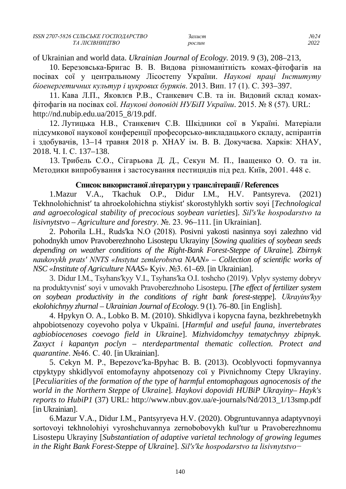| ISSN 2707-5826 СІЛЬСЬКЕ ГОСПОДАРСТВО | захист | No 24 |
|--------------------------------------|--------|-------|
| ТА ЛІСІВНИШТВО                       | рослин | 2022  |

of Ukrainian and world data. *Ukrainian Journal of Ecology.* 2019. 9 (3), 208–213,

10. Березовська-Бригас В. В. Видова різноманітність комах-фітофагів на посівах сої у центральному Лісостепу України. *Наукові праці Інституту біоенергетичних культур і цукрових буряків*. 2013. Вип. 17 (1). С. 393–397.

11. Кава Л.П., Яковлєв Р.В., Станкевич С.В. та ін. Видовий склад комахфітофагів на посівах сої. *Наукові доповіді НУБіП України*. 2015. № 8 (57). URL: [http://nd.nubip.edu.ua/2015\\_8/19.pdf.](http://nd.nubip.edu.ua/2015_8/19.pdf)

12. Лутицька Н.В., Станкевич С.В. Шкідники сої в Україні. Матеріали підсумкової наукової конференції професорсько-викладацького складу, аспірантів і здобувачів, 13–14 травня 2018 р. ХНАУ ім. В. В. Докучаєва. Харків: ХНАУ, 2018. Ч. І. С. 137–138.

13. Трибель С.О., Сігарьова Д. Д., Секун М. П., Іващенко О. О. та ін. Методики випробування і застосування пестицидів під ред. Київ, 2001. 448 с.

#### **Список використаної літератури у транслітерації / References**

1.Mazur V.A., Tkachuk O.P., Didur I.M., H.V. Pantsyreva. (2021) Tekhnolohichnistʹ ta ahroekolohichna stiykistʹ skorostyhlykh sortiv soyi [*Technological and agroecological stability of precocious soybean varieties*]. *Silʹsʹke hospodarstvo ta lisivnytstvo – Agriculture and forestry*. №. 23. 96–111. [in Ukrainian].

2. Pohorila L.H., Rudsʹka N.O (2018). Posivni yakosti nasinnya soyi zalezhno vid pohodnykh umov Pravoberezhnoho Lisostepu Ukrayiny [*Sowing qualities of soybean seeds depending on weather conditions of the Right-Bank Forest-Steppe of Ukraine*]. *Zbirnyk naukovykh pratsʹ NNTS «Instytut zemlerobstva NAAN»* – *Collection of scientific works of NSC «Institute of Agriculture NAAS»* Kyiv. №3. 61–69. [in Ukrainian].

3. Didur I.M., Tsyhansʹkyy V.I., Tsyhansʹka O.I. toshcho (2019). Vplyv systemy dobryv na produktyvnistʹ soyi v umovakh Pravoberezhnoho Lisostepu. [*The effect of fertilizer system on soybean productivity in the conditions of right bank forest-steppe*]. *Ukrayinsʹkyy ekolohichnyy zhurnal – Ukrainian Journal of Ecology*. 9 (1). 76–80. [in English].

4. Hpykyn O. A., Lobko B. M. (2010). Shkidlyva i kopycna fayna, bezkhrebetnykh ahpobiotsenozy coyevoho polya v Ukpaïni. [*Harmful and useful fauna, invertebrates agbiobiocenoses coevogo field in Ukraine*]. *Mizhvidomchyy tematychnyy zbipnyk. Zaxyct i kapantyn poclyn – nterdepartmental thematic collection. Protect and quarantine*. №46. C. 40. [in Ukrainian].

5. Cekyn M. P., Bepezovcʹka-Bpyhac B. B. (2013). Ocoblyvocti fopmyvannya ctpyktypy shkidlyvoï entomofayny ahpotsenozy coï y Pivnichnomy Ctepy Ukrayiny. [*Peculiarities of the formation of the type of harmful entomophagous agnocenosis of the world in the Northern Steppe of Ukraine*]. *Haykovi dopovidi HUBiP Ukrayiny– Hayk's reports to HubiP1* (37) URL: http://www.nbuv.gov.ua/e-journals/Nd/2013\_1/13smp.pdf [in Ukrainian].

6.Mazur V.A., Didur I.M., Pantsyryeva H.V. (2020). Obgruntuvannya adaptyvnoyi sortovoyi tekhnolohiyi vyroshchuvannya zernobobovykh kul'tur u Pravoberezhnomu Lisostepu Ukrayiny [*Substantiation of adaptive varietal technology of growing legumes in the Right Bank Forest-Steppe of Ukraine*]. *Silʹsʹke hospodarstvo ta lisivnytstvo−*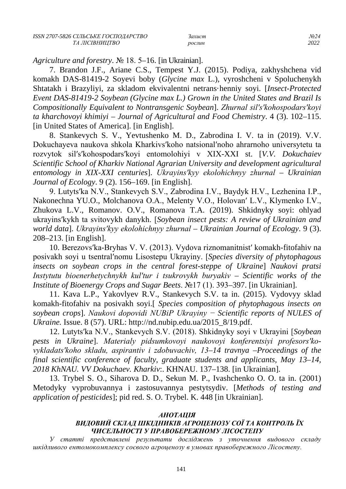*Agriculture and forestry*. № 18. 5–16. [in Ukrainian].

7. Brandon J.F., Ariane C.S., Tempest Y.J. (2015). Podiya, zakhyshchena vid komakh DAS-81419-2 Soyevi boby (*Glycine max* L.), vyroshcheni v Spoluchenykh Shtatakh i Brazyliyi, za skladom ekvivalentni netrans·henniy soyi. [*Insect-Protected Event DAS-81419-2 Soybean (Glycine max L.) Grown in the United States and Brazil Is Compositionally Equivalent to Nontransgenic Soybean*]. *Zhurnal silʹsʹkohospodarsʹkoyi ta kharchovoyi khimiyi* – *Journal of Agricultural and Food Chemistry*. 4 (3). 102–115. [in United States of America]. [in English].

8. Stankevych S. V., Yevtushenko M. D., Zabrodina I. V. ta in (2019). V.V. Dokuchayeva naukova shkola Kharkivsʹkoho natsionalʹnoho ahrarnoho universytetu ta rozvytok silʹsʹkohospodarsʹkoyi entomolohiyi v XIX-XXI st. [*V.V. Dokuchaiev Scientific School of Kharkiv National Agrarian University and development agricultural entomology in XIX-XXI centuries*]. *Ukrayinsʹkyy ekolohichnyy zhurnal* – *Ukrainian Journal of Ecology*. 9 (2). 156–169. [in English].

9. Lutytsʹka N.V., Stankevych S.V., Zabrodina I.V., Baydyk H.V., Lezhenina I.P., Nakonechna YU.O., Molchanova O.A., Melenty V.O., Holovanʹ L.V., Klymenko I.V., Zhukova L.V., Romanov. O.V., Romanova T.A. (2019). Shkidnyky soyi: ohlyad ukrayinsʹkykh ta svitovykh danykh. [*Soybean insect pests: A review of Ukrainian and world data*]. *Ukrayinsʹkyy ekolohichnyy zhurnal – Ukrainian Journal of Ecology*. 9 (3). 208–213. [in English].

10. Berezovsʹka-Bryhas V. V. (2013). Vydova riznomanitnistʹ komakh-fitofahiv na posivakh soyi u tsentralʹnomu Lisostepu Ukrayiny. [*Species diversity of phytophagous insects on soybean crops in the central forest-steppe of Ukraine*] *Naukovi pratsi Instytutu bioenerhetychnykh kulʹtur i tsukrovykh buryakiv – Scientific works of the Institute of Bioenergy Crops and Sugar Beets*. №17 (1). 393–397. [in Ukrainian].

11. Kava L.P., Yakovlyev R.V., Stankevych S.V. ta in. (2015). Vydovyy sklad komakh-fitofahiv na posivakh soyi.[ *Species composition of phytophagous insects on soybean crops*]. *Naukovi dopovidi NUBiP Ukrayiny − Scientific reports of NULES of Ukraine.* Issue. 8 (57). URL: http://nd.nubip.edu.ua/2015\_8/19.pdf.

12. Lutytsʹka N.V., Stankevych S.V. (2018). Shkidnyky soyi v Ukrayini [*Soybean pests in Ukraine*]. *Materialy pidsumkovoyi naukovoyi konferentsiyi profesorsʹkovykladatsʹkoho skladu, aspirantiv i zdobuvachiv, 13–14 travnya –Proceedings of the final scientific conference of faculty, graduate students and applicants, May 13–14, 2018 KhNAU. VV Dokuchaev. Kharkiv*:. KHNAU. 137–138. [in Ukrainian].

13. Trybel S. O., Siharova D. D., Sekun M. P., Ivashchenko O. O. ta in. (2001) Metodyky vyprobuvannya i zastosuvannya pestytsydiv. [*Methods of testing and application of pesticides*]; pid red. S. O. Trybel. K. 448 [in Ukrainian].

### *АНОТАЦІЯ*

# *ВИДОВИЙ СКЛАД ШКІДНИКІВ АГРОЦЕНОЗУ СОЇ ТА КОНТРОЛЬ ЇХ ЧИСЕЛЬНОСТІ У ПРАВОБЕРЕЖНОМУ ЛІСОСТЕПУ*

*У статті представлені результати досліджень з уточнення видового складу шкідливого ентомокомплексу соєвого агроценозу в умовах правобережного Лісостепу.*